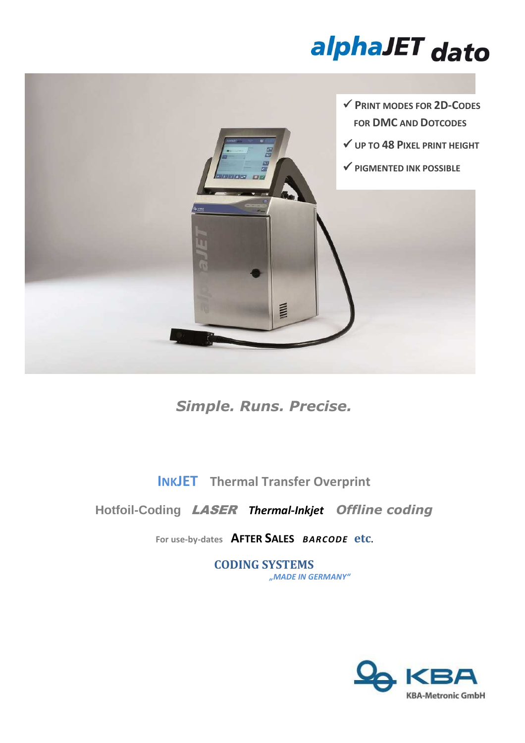# alphaJET dato



*Simple. Runs. Precise.* 

**INKJET Thermal Transfer Overprint**

**Hotfoil-Coding** LASER *Thermal-Inkjet**Offline coding*

**For use-by-dates AFTER SALES** *BARCODE* **etc.** 

**CODING SYSTEMS** *"MADE IN GERMANY"*